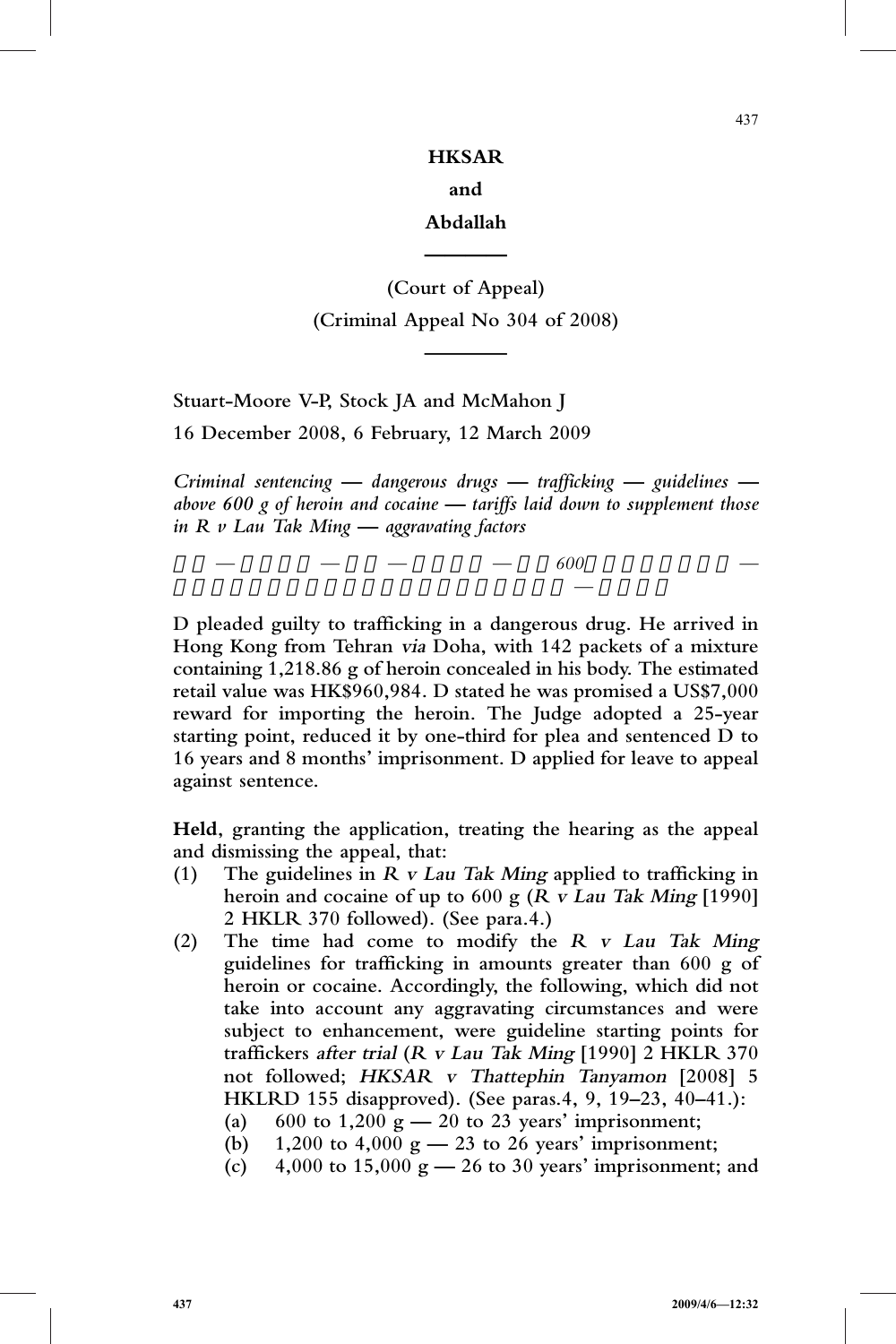# **HKSAR and**

#### **Abdallah**

**————**

# **(Court of Appeal) (Criminal Appeal No 304 of 2008)**

**————**

**Stuart-Moore V-P, Stock JA and McMahon J**

**16 December 2008, 6 February, 12 March 2009**

*Criminal sentencing — dangerous drugs — trafficking — guidelines above 600 g of heroin and cocaine — tariffs laid down to supplement those in R v Lau Tak Ming — aggravating factors*

判刑 *—* 危險藥物 *—* 販運 *—* 量刑指引 *—* 超過*600*克海洛英及可卡因 *—*

訂立刑期指引,以補充女皇訴劉德明一案的指引 *—* 加刑因素

**D pleaded guilty to trafficking in a dangerous drug. He arrived in Hong Kong from Tehran via Doha, with 142 packets of a mixture containing 1,218.86 g of heroin concealed in his body. The estimated retail value was HK\$960,984. D stated he was promised a US\$7,000 reward for importing the heroin. The Judge adopted a 25-year starting point, reduced it by one-third for plea and sentenced D to 16 years and 8 months' imprisonment. D applied for leave to appeal against sentence.**

**Held, granting the application, treating the hearing as the appeal and dismissing the appeal, that:**

- **(1) The guidelines in <sup>R</sup> <sup>v</sup> Lau Tak Ming applied to trafficking in heroin and cocaine of up to 600 g (<sup>R</sup> <sup>v</sup> Lau Tak Ming [1990] 2 HKLR 370 followed). (See para.4.)**
- **(2) The time had come to modify the <sup>R</sup> <sup>v</sup> Lau Tak Ming guidelines for trafficking in amounts greater than 600 g of heroin or cocaine. Accordingly, the following, which did not take into account any aggravating circumstances and were subject to enhancement, were guideline starting points for traffickers after trial (<sup>R</sup> <sup>v</sup> Lau Tak Ming [1990] 2 HKLR 370 not followed; HKSAR <sup>v</sup> Thattephin Tanyamon [2008] 5 HKLRD 155 disapproved). (See paras.4, 9, 19–23, 40–41.):**
	- **(a) 600 to 1,200 g — 20 to 23 years' imprisonment;**
	- **(b) 1,200 to 4,000 g — 23 to 26 years' imprisonment;**
	- **(c) 4,000 to 15,000 g — 26 to 30 years' imprisonment; and**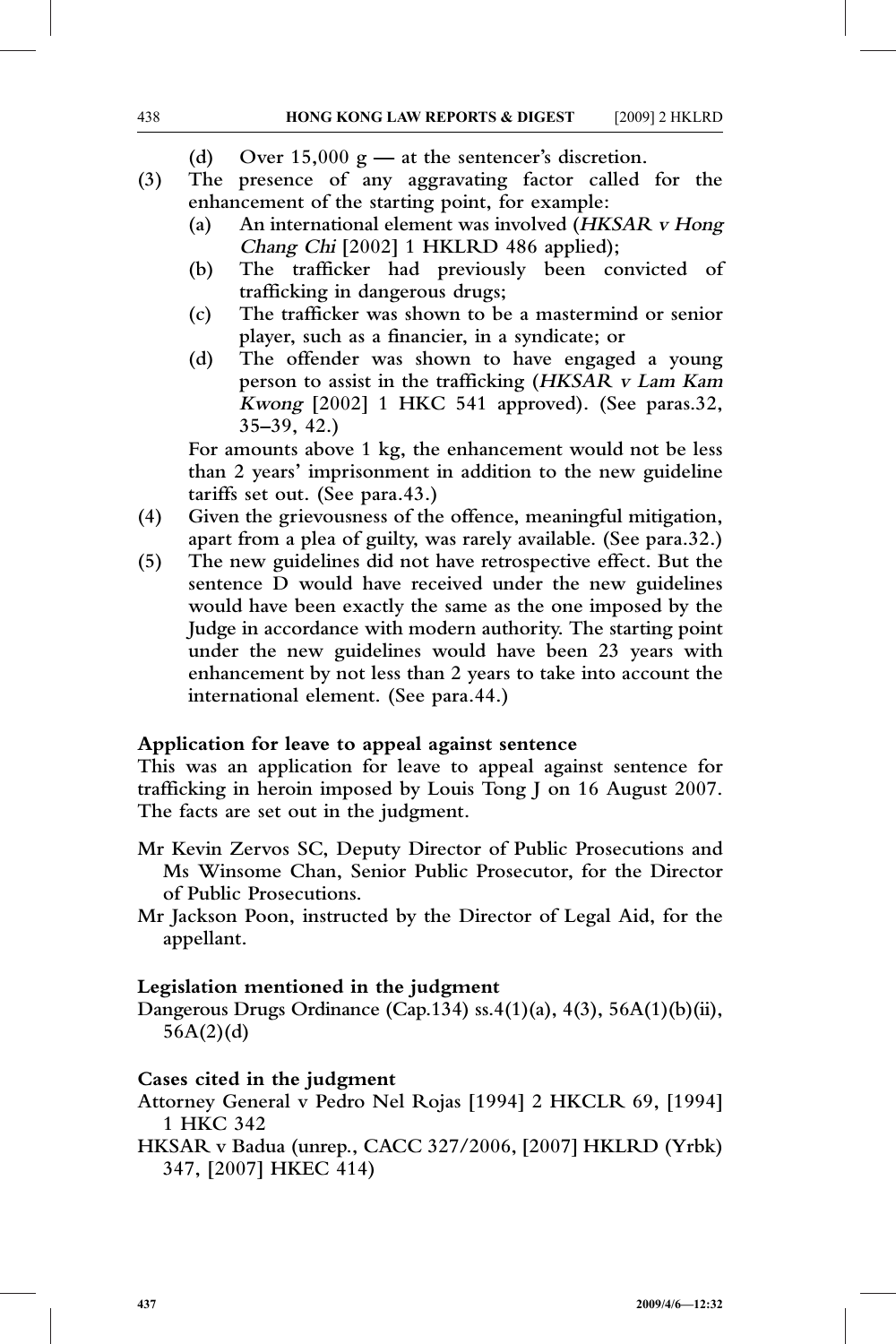- **(d) Over 15,000 g — at the sentencer's discretion.**
- **(3) The presence of any aggravating factor called for the enhancement of the starting point, for example:**
	- **(a) An international element was involved (HKSAR <sup>v</sup> Hong Chang Chi [2002] 1 HKLRD 486 applied);**
	- **(b) The trafficker had previously been convicted of trafficking in dangerous drugs;**
	- **(c) The trafficker was shown to be a mastermind or senior player, such as a financier, in a syndicate; or**
	- **(d) The offender was shown to have engaged a young person to assist in the trafficking (HKSAR <sup>v</sup> Lam Kam Kwong [2002] 1 HKC 541 approved). (See paras.32, 35–39, 42.)**

**For amounts above 1 kg, the enhancement would not be less than 2 years' imprisonment in addition to the new guideline tariffs set out. (See para.43.)**

- **(4) Given the grievousness of the offence, meaningful mitigation, apart from a plea of guilty, was rarely available. (See para.32.)**
- **(5) The new guidelines did not have retrospective effect. But the sentence D would have received under the new guidelines would have been exactly the same as the one imposed by the Judge in accordance with modern authority. The starting point under the new guidelines would have been 23 years with enhancement by not less than 2 years to take into account the international element. (See para.44.)**

#### **Application for leave to appeal against sentence**

**This was an application for leave to appeal against sentence for trafficking in heroin imposed by Louis Tong J on 16 August 2007. The facts are set out in the judgment.**

- **Mr Kevin Zervos SC, Deputy Director of Public Prosecutions and Ms Winsome Chan, Senior Public Prosecutor, for the Director of Public Prosecutions.**
- **Mr Jackson Poon, instructed by the Director of Legal Aid, for the appellant.**

# **Legislation mentioned in the judgment**

**Dangerous Drugs Ordinance (Cap.134) ss.4(1)(a), 4(3), 56A(1)(b)(ii), 56A(2)(d)**

# **Cases cited in the judgment**

- **Attorney General v Pedro Nel Rojas [1994] 2 HKCLR 69, [1994] 1 HKC 342**
- **HKSAR v Badua (unrep., CACC 327/2006, [2007] HKLRD (Yrbk) 347, [2007] HKEC 414)**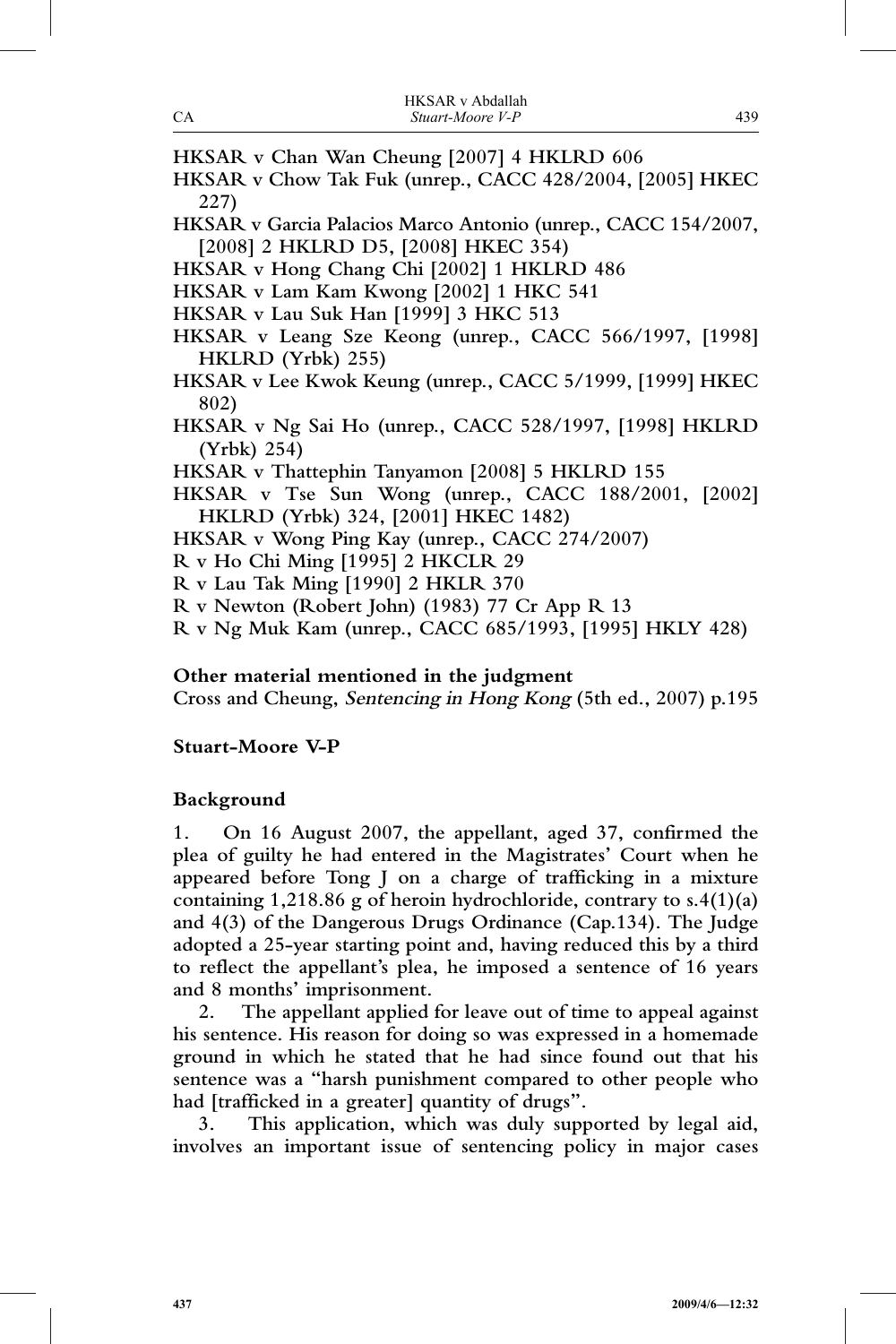- **HKSAR v Chan Wan Cheung [2007] 4 HKLRD 606**
- **HKSAR v Chow Tak Fuk (unrep., CACC 428/2004, [2005] HKEC 227)**
- **HKSAR v Garcia Palacios Marco Antonio (unrep., CACC 154/2007, [2008] 2 HKLRD D5, [2008] HKEC 354)**
- **HKSAR v Hong Chang Chi [2002] 1 HKLRD 486**
- **HKSAR v Lam Kam Kwong [2002] 1 HKC 541**
- **HKSAR v Lau Suk Han [1999] 3 HKC 513**
- **HKSAR v Leang Sze Keong (unrep., CACC 566/1997, [1998] HKLRD (Yrbk) 255)**
- **HKSAR v Lee Kwok Keung (unrep., CACC 5/1999, [1999] HKEC 802)**
- **HKSAR v Ng Sai Ho (unrep., CACC 528/1997, [1998] HKLRD (Yrbk) 254)**
- **HKSAR v Thattephin Tanyamon [2008] 5 HKLRD 155**
- **HKSAR v Tse Sun Wong (unrep., CACC 188/2001, [2002] HKLRD (Yrbk) 324, [2001] HKEC 1482)**
- **HKSAR v Wong Ping Kay (unrep., CACC 274/2007)**
- **R v Ho Chi Ming [1995] 2 HKCLR 29**
- **R v Lau Tak Ming [1990] 2 HKLR 370**
- **R v Newton (Robert John) (1983) 77 Cr App R 13**
- **R v Ng Muk Kam (unrep., CACC 685/1993, [1995] HKLY 428)**

#### **Other material mentioned in the judgment**

**Cross and Cheung, Sentencing in Hong Kong (5th ed., 2007) p.195**

# **Stuart-Moore V-P**

# **Background**

**1. On 16 August 2007, the appellant, aged 37, confirmed the plea of guilty he had entered in the Magistrates' Court when he appeared before Tong J on a charge of trafficking in a mixture containing 1,218.86 g of heroin hydrochloride, contrary to s.4(1)(a) and 4(3) of the Dangerous Drugs Ordinance (Cap.134). The Judge adopted a 25-year starting point and, having reduced this by a third to reflect the appellant's plea, he imposed a sentence of 16 years and 8 months' imprisonment.**

**2. The appellant applied for leave out of time to appeal against his sentence. His reason for doing so was expressed in a homemade ground in which he stated that he had since found out that his sentence was a "harsh punishment compared to other people who had [trafficked in a greater] quantity of drugs".**

**3. This application, which was duly supported by legal aid, involves an important issue of sentencing policy in major cases**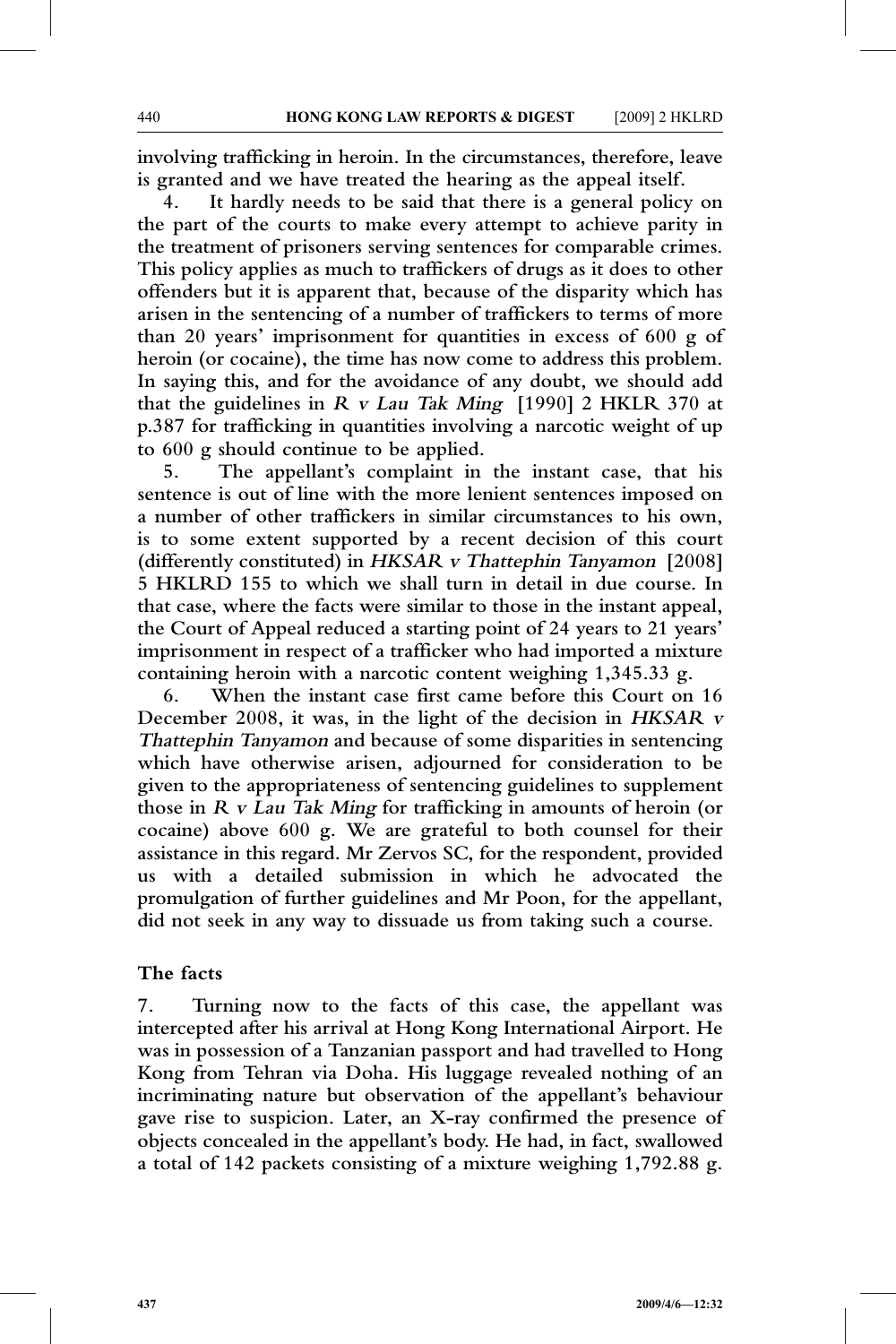**involving trafficking in heroin. In the circumstances, therefore, leave is granted and we have treated the hearing as the appeal itself.**

**4. It hardly needs to be said that there is a general policy on the part of the courts to make every attempt to achieve parity in the treatment of prisoners serving sentences for comparable crimes. This policy applies as much to traffickers of drugs as it does to other offenders but it is apparent that, because of the disparity which has arisen in the sentencing of a number of traffickers to terms of more than 20 years' imprisonment for quantities in excess of 600 g of heroin (or cocaine), the time has now come to address this problem. In saying this, and for the avoidance of any doubt, we should add that the guidelines in <sup>R</sup> <sup>v</sup> Lau Tak Ming [1990] 2 HKLR 370 at p.387 for trafficking in quantities involving a narcotic weight of up to 600 g should continue to be applied.**

**5. The appellant's complaint in the instant case, that his sentence is out of line with the more lenient sentences imposed on a number of other traffickers in similar circumstances to his own, is to some extent supported by a recent decision of this court (differently constituted) in HKSAR <sup>v</sup> Thattephin Tanyamon [2008] 5 HKLRD 155 to which we shall turn in detail in due course. In that case, where the facts were similar to those in the instant appeal, the Court of Appeal reduced a starting point of 24 years to 21 years' imprisonment in respect of a trafficker who had imported a mixture containing heroin with a narcotic content weighing 1,345.33 g.**

**6. When the instant case first came before this Court on 16 December 2008, it was, in the light of the decision in HKSAR <sup>v</sup> Thattephin Tanyamon and because of some disparities in sentencing which have otherwise arisen, adjourned for consideration to be given to the appropriateness of sentencing guidelines to supplement those in <sup>R</sup> <sup>v</sup> Lau Tak Ming for trafficking in amounts of heroin (or cocaine) above 600 g. We are grateful to both counsel for their assistance in this regard. Mr Zervos SC, for the respondent, provided us with a detailed submission in which he advocated the promulgation of further guidelines and Mr Poon, for the appellant, did not seek in any way to dissuade us from taking such a course.**

#### **The facts**

**7. Turning now to the facts of this case, the appellant was intercepted after his arrival at Hong Kong International Airport. He was in possession of a Tanzanian passport and had travelled to Hong Kong from Tehran via Doha. His luggage revealed nothing of an incriminating nature but observation of the appellant's behaviour gave rise to suspicion. Later, an X-ray confirmed the presence of objects concealed in the appellant's body. He had, in fact, swallowed a total of 142 packets consisting of a mixture weighing 1,792.88 g.**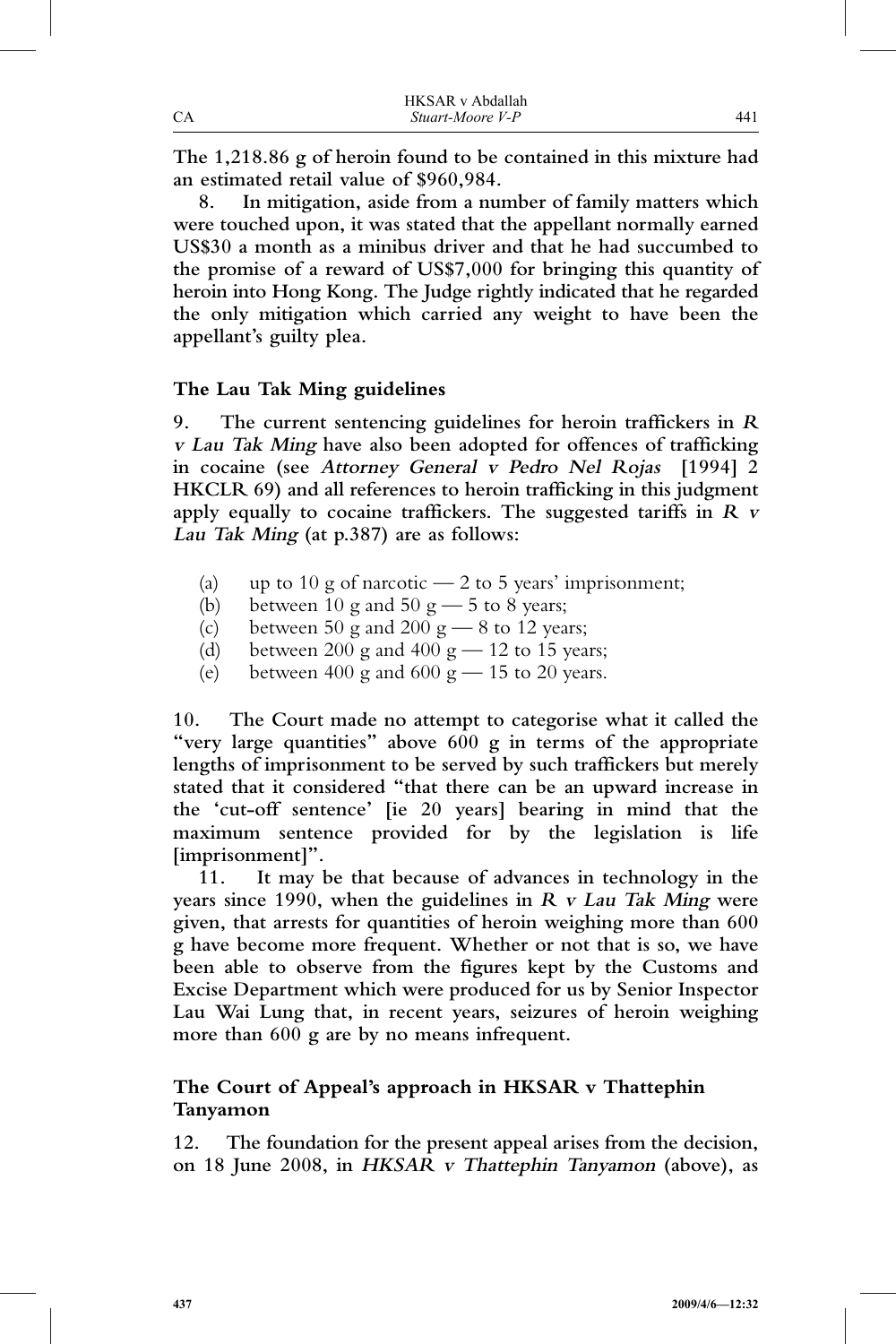|    | HKSAR v Abdallah |     |
|----|------------------|-----|
| СA | Stuart-Moore V-P | 441 |

**The 1,218.86 g of heroin found to be contained in this mixture had an estimated retail value of \$960,984.**

**8. In mitigation, aside from a number of family matters which were touched upon, it was stated that the appellant normally earned US\$30 a month as a minibus driver and that he had succumbed to the promise of a reward of US\$7,000 for bringing this quantity of heroin into Hong Kong. The Judge rightly indicated that he regarded the only mitigation which carried any weight to have been the appellant's guilty plea.**

### **The Lau Tak Ming guidelines**

**9. The current sentencing guidelines for heroin traffickers in <sup>R</sup> <sup>v</sup> Lau Tak Ming have also been adopted for offences of trafficking in cocaine (see Attorney General <sup>v</sup> Pedro Nel Rojas [1994] 2 HKCLR 69) and all references to heroin trafficking in this judgment apply equally to cocaine traffickers. The suggested tariffs in <sup>R</sup> <sup>v</sup> Lau Tak Ming (at p.387) are as follows:**

- (a) up to 10 g of narcotic  $-2$  to 5 years' imprisonment;
- (b) between 10 g and 50 g  $-$  5 to 8 years;
- (c) between 50 g and 200 g  $-$  8 to 12 years;
- (d) between 200 g and 400 g  $-$  12 to 15 years;
- (e) between 400 g and 600 g  $-$  15 to 20 years.

**10. The Court made no attempt to categorise what it called the "very large quantities" above 600 g in terms of the appropriate lengths of imprisonment to be served by such traffickers but merely stated that it considered "that there can be an upward increase in the 'cut-off sentence' [ie 20 years] bearing in mind that the maximum sentence provided for by the legislation is life [imprisonment]".**

**11. It may be that because of advances in technology in the years since 1990, when the guidelines in <sup>R</sup> <sup>v</sup> Lau Tak Ming were given, that arrests for quantities of heroin weighing more than 600 g have become more frequent. Whether or not that is so, we have been able to observe from the figures kept by the Customs and Excise Department which were produced for us by Senior Inspector Lau Wai Lung that, in recent years, seizures of heroin weighing more than 600 g are by no means infrequent.**

# **The Court of Appeal's approach in HKSAR v Thattephin Tanyamon**

**12. The foundation for the present appeal arises from the decision, on 18 June 2008, in HKSAR <sup>v</sup> Thattephin Tanyamon (above), as**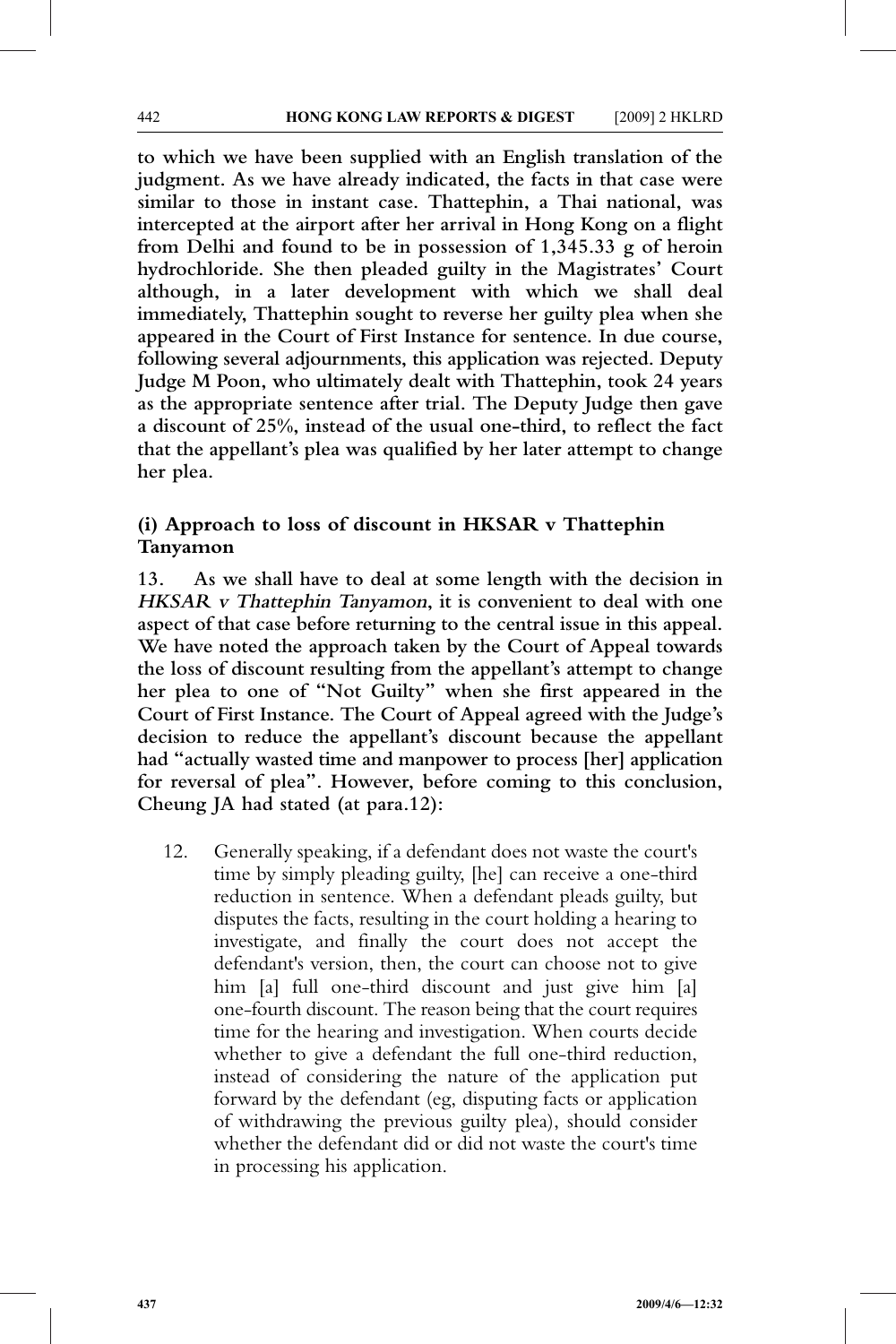**to which we have been supplied with an English translation of the judgment. As we have already indicated, the facts in that case were similar to those in instant case. Thattephin, a Thai national, was intercepted at the airport after her arrival in Hong Kong on a flight from Delhi and found to be in possession of 1,345.33 g of heroin hydrochloride. She then pleaded guilty in the Magistrates' Court although, in a later development with which we shall deal immediately, Thattephin sought to reverse her guilty plea when she appeared in the Court of First Instance for sentence. In due course, following several adjournments, this application was rejected. Deputy Judge M Poon, who ultimately dealt with Thattephin, took 24 years as the appropriate sentence after trial. The Deputy Judge then gave a discount of 25%, instead of the usual one-third, to reflect the fact that the appellant's plea was qualified by her later attempt to change her plea.**

## **(i) Approach to loss of discount in HKSAR v Thattephin Tanyamon**

**13. As we shall have to deal at some length with the decision in HKSAR <sup>v</sup> Thattephin Tanyamon, it is convenient to deal with one aspect of that case before returning to the central issue in this appeal. We have noted the approach taken by the Court of Appeal towards the loss of discount resulting from the appellant's attempt to change her plea to one of "Not Guilty" when she first appeared in the Court of First Instance. The Court of Appeal agreed with the Judge's decision to reduce the appellant's discount because the appellant had "actually wasted time and manpower to process [her] application for reversal of plea". However, before coming to this conclusion, Cheung JA had stated (at para.12):**

12. Generally speaking, if a defendant does not waste the court's time by simply pleading guilty, [he] can receive a one-third reduction in sentence. When a defendant pleads guilty, but disputes the facts, resulting in the court holding a hearing to investigate, and finally the court does not accept the defendant's version, then, the court can choose not to give him [a] full one-third discount and just give him [a] one-fourth discount. The reason being that the court requires time for the hearing and investigation. When courts decide whether to give a defendant the full one-third reduction, instead of considering the nature of the application put forward by the defendant (eg, disputing facts or application of withdrawing the previous guilty plea), should consider whether the defendant did or did not waste the court's time in processing his application.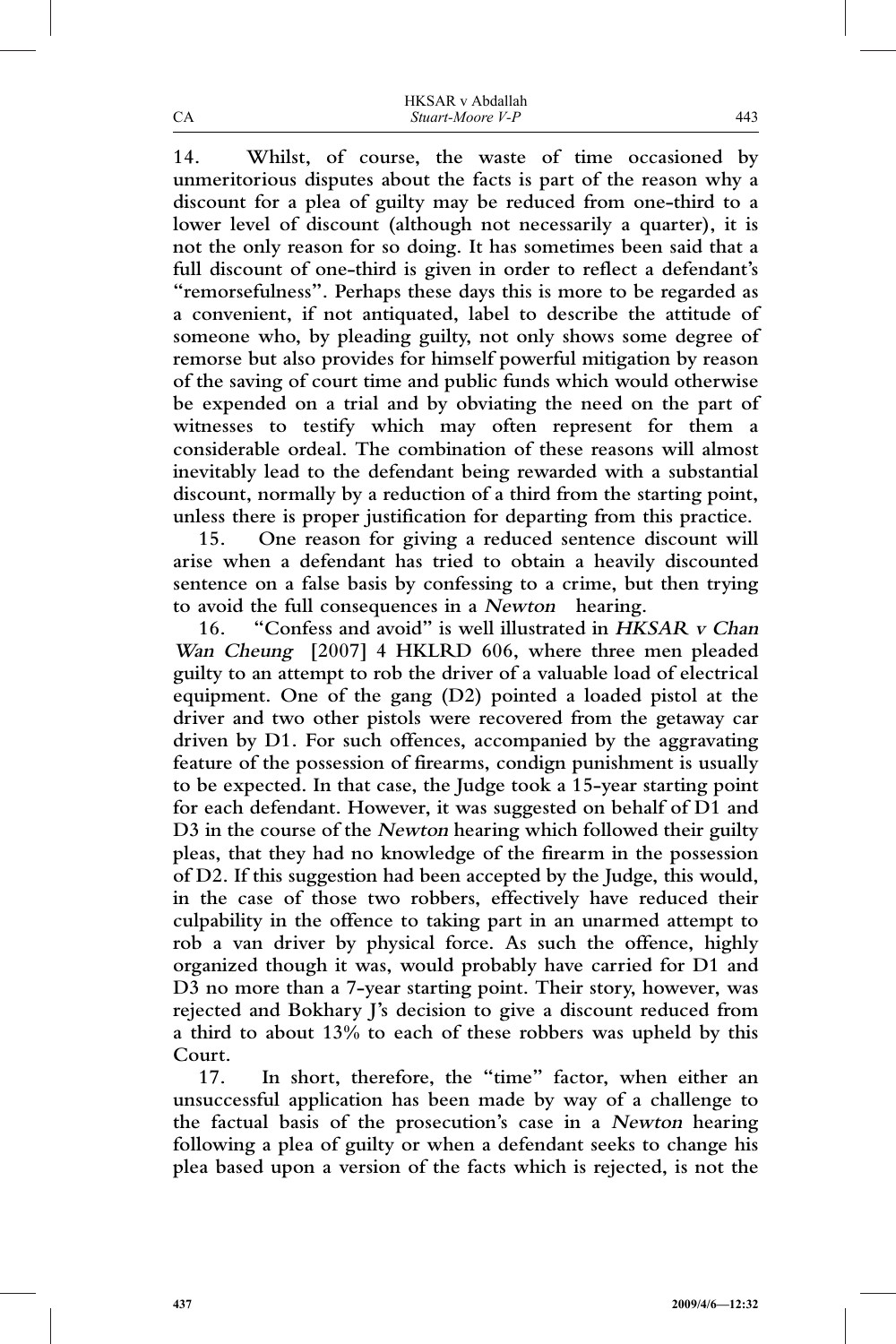|    | <b>HKSAR</b> v Abdallah |
|----|-------------------------|
| CА | Stuart-Moore V-P        |

**14. Whilst, of course, the waste of time occasioned by unmeritorious disputes about the facts is part of the reason why a discount for a plea of guilty may be reduced from one-third to a lower level of discount (although not necessarily a quarter), it is not the only reason for so doing. It has sometimes been said that a full discount of one-third is given in order to reflect a defendant's "remorsefulness". Perhaps these days this is more to be regarded as a convenient, if not antiquated, label to describe the attitude of someone who, by pleading guilty, not only shows some degree of remorse but also provides for himself powerful mitigation by reason of the saving of court time and public funds which would otherwise be expended on a trial and by obviating the need on the part of witnesses to testify which may often represent for them a considerable ordeal. The combination of these reasons will almost inevitably lead to the defendant being rewarded with a substantial discount, normally by a reduction of a third from the starting point, unless there is proper justification for departing from this practice.**

**15. One reason for giving a reduced sentence discount will arise when a defendant has tried to obtain a heavily discounted sentence on a false basis by confessing to a crime, but then trying to avoid the full consequences in a Newton hearing.**

**16. "Confess and avoid" is well illustrated in HKSAR <sup>v</sup> Chan Wan Cheung [2007] 4 HKLRD 606, where three men pleaded guilty to an attempt to rob the driver of a valuable load of electrical equipment. One of the gang (D2) pointed a loaded pistol at the driver and two other pistols were recovered from the getaway car driven by D1. For such offences, accompanied by the aggravating feature of the possession of firearms, condign punishment is usually to be expected. In that case, the Judge took a 15-year starting point for each defendant. However, it was suggested on behalf of D1 and D3 in the course of the Newton hearing which followed their guilty pleas, that they had no knowledge of the firearm in the possession of D2. If this suggestion had been accepted by the Judge, this would, in the case of those two robbers, effectively have reduced their culpability in the offence to taking part in an unarmed attempt to rob a van driver by physical force. As such the offence, highly organized though it was, would probably have carried for D1 and D3 no more than a 7-year starting point. Their story, however, was rejected and Bokhary J's decision to give a discount reduced from a third to about 13% to each of these robbers was upheld by this Court.**

**17. In short, therefore, the "time" factor, when either an unsuccessful application has been made by way of a challenge to the factual basis of the prosecution's case in a Newton hearing following a plea of guilty or when a defendant seeks to change his plea based upon a version of the facts which is rejected, is not the**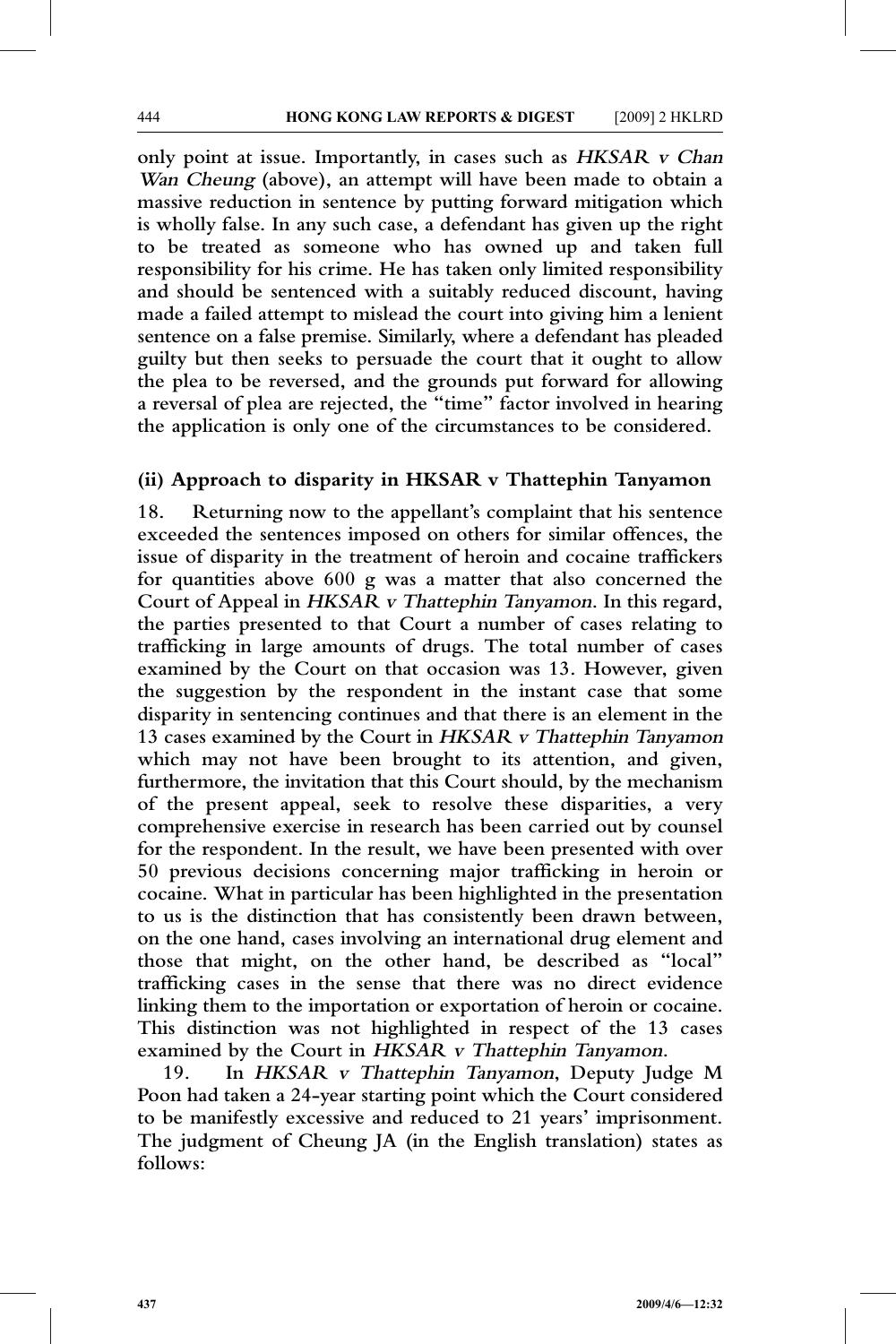**only point at issue. Importantly, in cases such as HKSAR <sup>v</sup> Chan Wan Cheung (above), an attempt will have been made to obtain a massive reduction in sentence by putting forward mitigation which is wholly false. In any such case, a defendant has given up the right to be treated as someone who has owned up and taken full responsibility for his crime. He has taken only limited responsibility and should be sentenced with a suitably reduced discount, having made a failed attempt to mislead the court into giving him a lenient sentence on a false premise. Similarly, where a defendant has pleaded guilty but then seeks to persuade the court that it ought to allow the plea to be reversed, and the grounds put forward for allowing a reversal of plea are rejected, the "time" factor involved in hearing the application is only one of the circumstances to be considered.**

#### **(ii) Approach to disparity in HKSAR v Thattephin Tanyamon**

**18. Returning now to the appellant's complaint that his sentence exceeded the sentences imposed on others for similar offences, the issue of disparity in the treatment of heroin and cocaine traffickers for quantities above 600 g was a matter that also concerned the Court of Appeal in HKSAR <sup>v</sup> Thattephin Tanyamon. In this regard, the parties presented to that Court a number of cases relating to trafficking in large amounts of drugs. The total number of cases examined by the Court on that occasion was 13. However, given the suggestion by the respondent in the instant case that some disparity in sentencing continues and that there is an element in the 13 cases examined by the Court in HKSAR <sup>v</sup> Thattephin Tanyamon which may not have been brought to its attention, and given, furthermore, the invitation that this Court should, by the mechanism of the present appeal, seek to resolve these disparities, a very comprehensive exercise in research has been carried out by counsel for the respondent. In the result, we have been presented with over 50 previous decisions concerning major trafficking in heroin or cocaine. What in particular has been highlighted in the presentation to us is the distinction that has consistently been drawn between, on the one hand, cases involving an international drug element and those that might, on the other hand, be described as "local" trafficking cases in the sense that there was no direct evidence linking them to the importation or exportation of heroin or cocaine. This distinction was not highlighted in respect of the 13 cases examined by the Court in HKSAR <sup>v</sup> Thattephin Tanyamon.**

**19. In HKSAR <sup>v</sup> Thattephin Tanyamon, Deputy Judge M Poon had taken a 24-year starting point which the Court considered to be manifestly excessive and reduced to 21 years' imprisonment. The judgment of Cheung JA (in the English translation) states as follows:**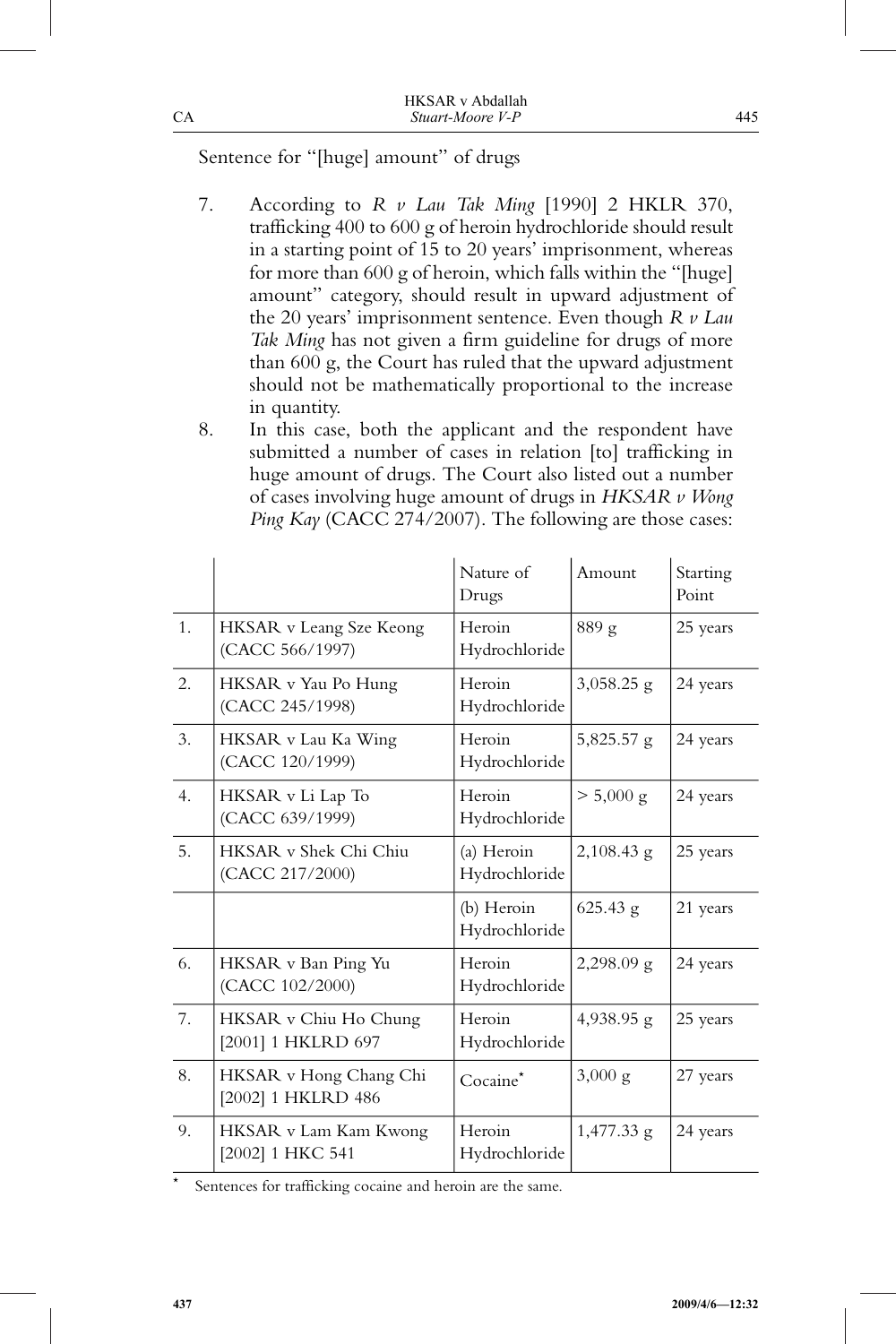# Sentence for "[huge] amount" of drugs

- 7. According to *R v Lau Tak Ming* [1990] 2 HKLR 370, trafficking 400 to 600 g of heroin hydrochloride should result in a starting point of 15 to 20 years' imprisonment, whereas for more than 600 g of heroin, which falls within the "[huge] amount" category, should result in upward adjustment of the 20 years' imprisonment sentence. Even though *R v Lau Tak Ming* has not given a firm guideline for drugs of more than 600 g, the Court has ruled that the upward adjustment should not be mathematically proportional to the increase in quantity.
- 8. In this case, both the applicant and the respondent have submitted a number of cases in relation [to] trafficking in huge amount of drugs. The Court also listed out a number of cases involving huge amount of drugs in *HKSAR v Wong Ping Kay* (CACC 274/2007). The following are those cases:

|    |                                              | Nature of<br>Drugs          | Amount            | Starting<br>Point |
|----|----------------------------------------------|-----------------------------|-------------------|-------------------|
| 1. | HKSAR v Leang Sze Keong<br>(CACC 566/1997)   | Heroin<br>Hydrochloride     | 889 g             | 25 years          |
| 2. | HKSAR v Yau Po Hung<br>(CACC 245/1998)       | Heroin<br>Hydrochloride     | $3,058.25$ g      | 24 years          |
| 3. | HKSAR v Lau Ka Wing<br>(CACC 120/1999)       | Heroin<br>Hydrochloride     | $5,825.57$ g      | 24 years          |
| 4. | HKSAR v Li Lap To<br>(CACC 639/1999)         | Heroin<br>Hydrochloride     | $> 5,000$ g       | 24 years          |
| 5. | HKSAR v Shek Chi Chiu<br>(CACC 217/2000)     | (a) Heroin<br>Hydrochloride | $2,108.43$ g      | 25 years          |
|    |                                              | (b) Heroin<br>Hydrochloride | $625.43$ g        | 21 years          |
| 6. | HKSAR v Ban Ping Yu<br>(CACC 102/2000)       | Heroin<br>Hydrochloride     | $2,298.09$ g      | 24 years          |
| 7. | HKSAR v Chiu Ho Chung<br>[2001] 1 HKLRD 697  | Heroin<br>Hydrochloride     | $4,938.95$ g      | 25 years          |
| 8. | HKSAR v Hong Chang Chi<br>[2002] 1 HKLRD 486 | Cocaine <sup>*</sup>        | $3,000 \text{ g}$ | 27 years          |
| 9. | HKSAR v Lam Kam Kwong<br>[2002] 1 HKC 541    | Heroin<br>Hydrochloride     | $1,477.33$ g      | 24 years          |

\* Sentences for trafficking cocaine and heroin are the same.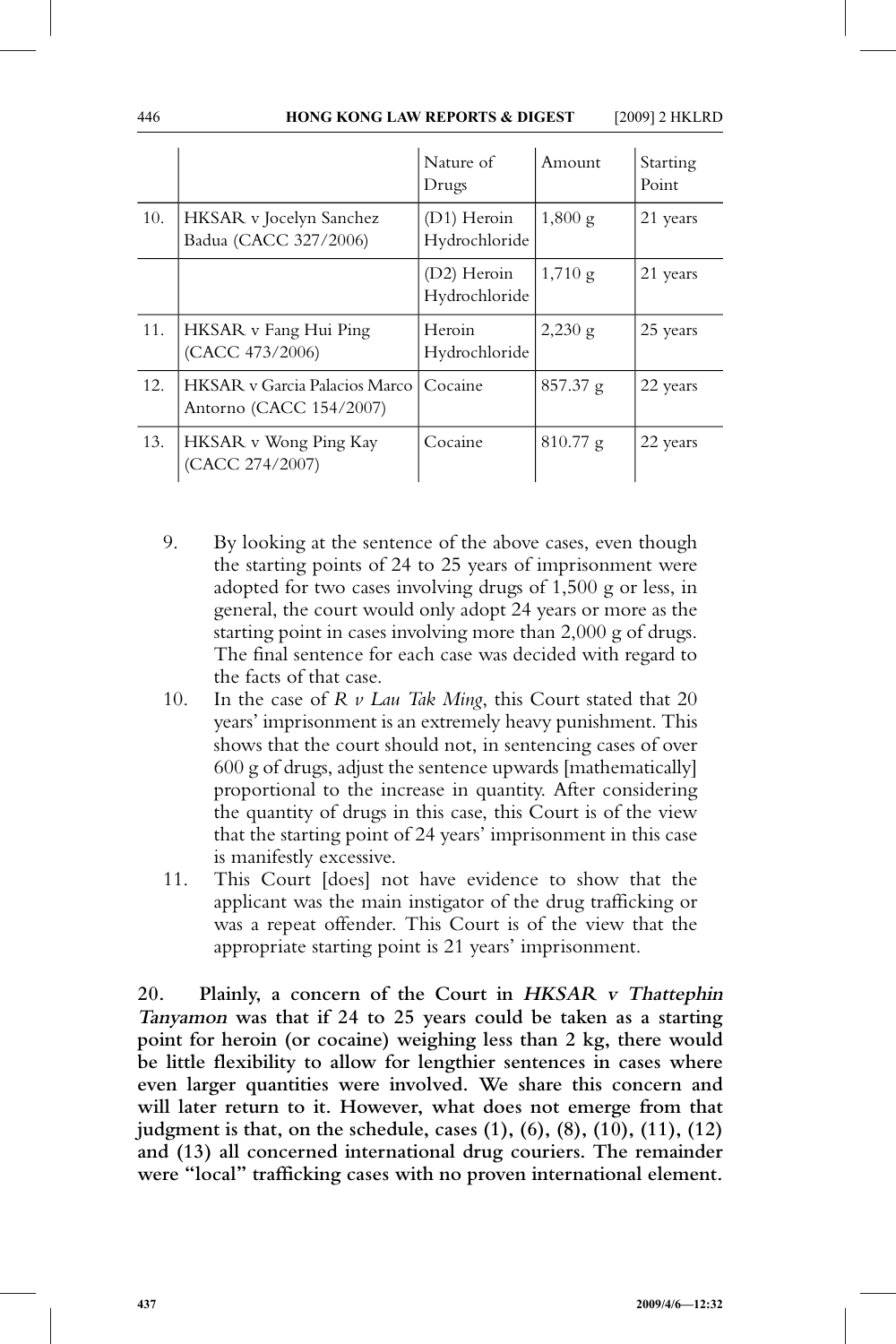|     |                                                                   | Nature of<br>Drugs           | Amount            | Starting<br>Point |
|-----|-------------------------------------------------------------------|------------------------------|-------------------|-------------------|
| 10. | HKSAR v Jocelyn Sanchez<br>Badua (CACC 327/2006)                  | (D1) Heroin<br>Hydrochloride | $1,800 \text{ g}$ | 21 years          |
|     |                                                                   | (D2) Heroin<br>Hydrochloride | $1,710 \text{ g}$ | 21 years          |
| 11. | HKSAR v Fang Hui Ping<br>(CACC 473/2006)                          | Heroin<br>Hydrochloride      | $2,230 \text{ g}$ | 25 years          |
| 12. | <b>HKSAR</b> y Garcia Palacios Marco I<br>Antorno (CACC 154/2007) | Cocaine                      | 857.37 g          | 22 years          |
| 13. | HKSAR v Wong Ping Kay<br>(CACC 274/2007)                          | Cocaine                      | $810.77$ g        | 22 years          |

- 9. By looking at the sentence of the above cases, even though the starting points of 24 to 25 years of imprisonment were adopted for two cases involving drugs of 1,500 g or less, in general, the court would only adopt 24 years or more as the starting point in cases involving more than 2,000 g of drugs. The final sentence for each case was decided with regard to the facts of that case.
- 10. In the case of *R v Lau Tak Ming*, this Court stated that 20 years' imprisonment is an extremely heavy punishment. This shows that the court should not, in sentencing cases of over 600 g of drugs, adjust the sentence upwards [mathematically] proportional to the increase in quantity. After considering the quantity of drugs in this case, this Court is of the view that the starting point of 24 years' imprisonment in this case is manifestly excessive.
- 11. This Court [does] not have evidence to show that the applicant was the main instigator of the drug trafficking or was a repeat offender. This Court is of the view that the appropriate starting point is 21 years' imprisonment.

**20. Plainly, a concern of the Court in HKSAR <sup>v</sup> Thattephin Tanyamon was that if 24 to 25 years could be taken as a starting point for heroin (or cocaine) weighing less than 2 kg, there would be little flexibility to allow for lengthier sentences in cases where even larger quantities were involved. We share this concern and will later return to it. However, what does not emerge from that judgment is that, on the schedule, cases (1), (6), (8), (10), (11), (12) and (13) all concerned international drug couriers. The remainder were "local" trafficking cases with no proven international element.**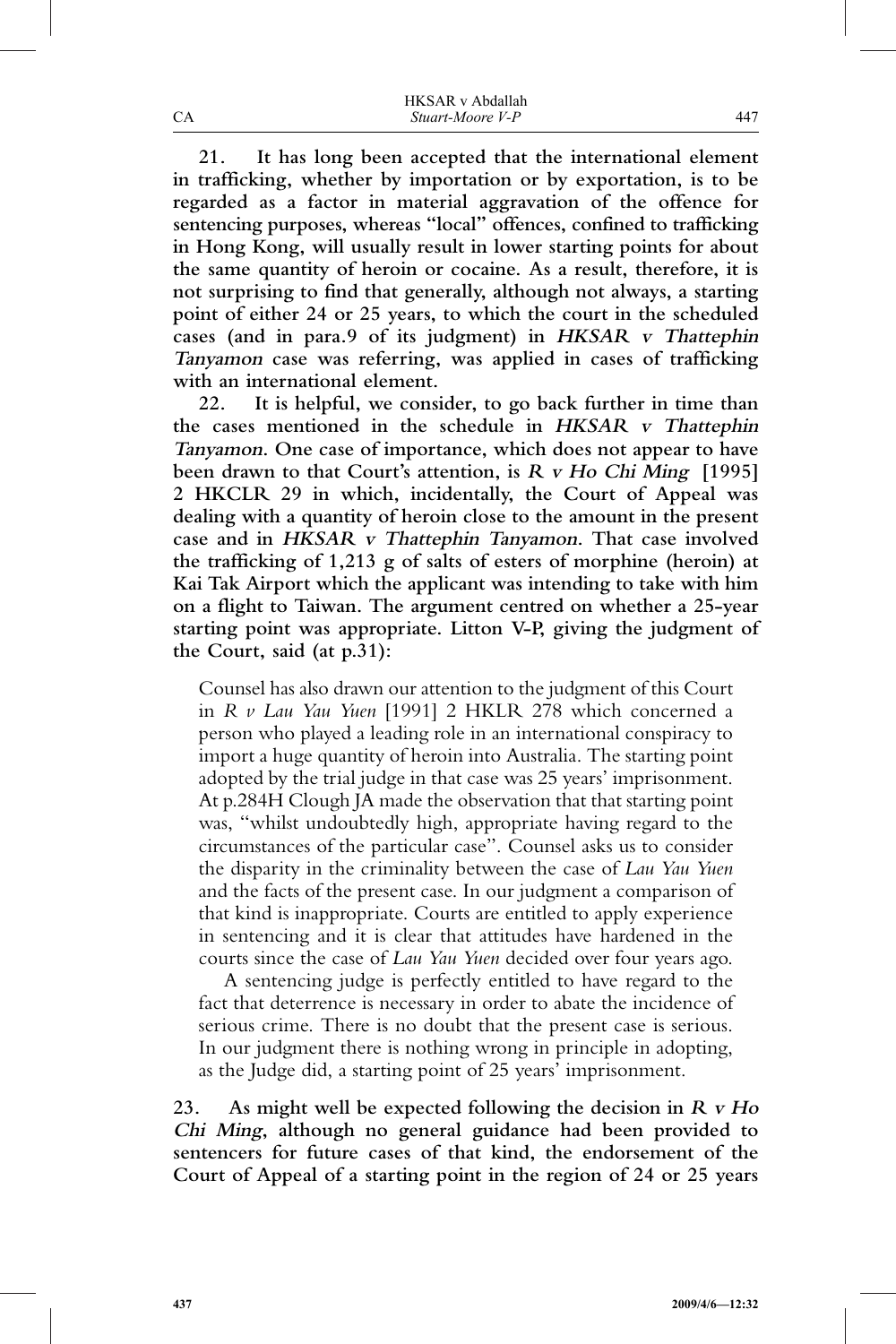|    | <b>HKSAR</b> v Abdallah |
|----|-------------------------|
| CА | Stuart-Moore V-P        |

**21. It has long been accepted that the international element in trafficking, whether by importation or by exportation, is to be regarded as a factor in material aggravation of the offence for sentencing purposes, whereas "local" offences, confined to trafficking in Hong Kong, will usually result in lower starting points for about the same quantity of heroin or cocaine. As a result, therefore, it is not surprising to find that generally, although not always, a starting point of either 24 or 25 years, to which the court in the scheduled cases (and in para.9 of its judgment) in HKSAR <sup>v</sup> Thattephin Tanyamon case was referring, was applied in cases of trafficking with an international element.**

**22. It is helpful, we consider, to go back further in time than the cases mentioned in the schedule in HKSAR <sup>v</sup> Thattephin Tanyamon. One case of importance, which does not appear to have been drawn to that Court's attention, is <sup>R</sup> <sup>v</sup> Ho Chi Ming [1995] 2 HKCLR 29 in which, incidentally, the Court of Appeal was dealing with a quantity of heroin close to the amount in the present case and in HKSAR <sup>v</sup> Thattephin Tanyamon. That case involved the trafficking of 1,213 g of salts of esters of morphine (heroin) at Kai Tak Airport which the applicant was intending to take with him on a flight to Taiwan. The argument centred on whether a 25-year starting point was appropriate. Litton V-P, giving the judgment of the Court, said (at p.31):**

Counsel has also drawn our attention to the judgment of this Court in *R v Lau Yau Yuen* [1991] 2 HKLR 278 which concerned a person who played a leading role in an international conspiracy to import a huge quantity of heroin into Australia. The starting point adopted by the trial judge in that case was 25 years' imprisonment. At p.284H Clough JA made the observation that that starting point was, "whilst undoubtedly high, appropriate having regard to the circumstances of the particular case". Counsel asks us to consider the disparity in the criminality between the case of *Lau Yau Yuen* and the facts of the present case. In our judgment a comparison of that kind is inappropriate. Courts are entitled to apply experience in sentencing and it is clear that attitudes have hardened in the courts since the case of *Lau Yau Yuen* decided over four years ago.

A sentencing judge is perfectly entitled to have regard to the fact that deterrence is necessary in order to abate the incidence of serious crime. There is no doubt that the present case is serious. In our judgment there is nothing wrong in principle in adopting, as the Judge did, a starting point of 25 years' imprisonment.

**23. As might well be expected following the decision in <sup>R</sup> <sup>v</sup> Ho Chi Ming, although no general guidance had been provided to sentencers for future cases of that kind, the endorsement of the Court of Appeal of a starting point in the region of 24 or 25 years**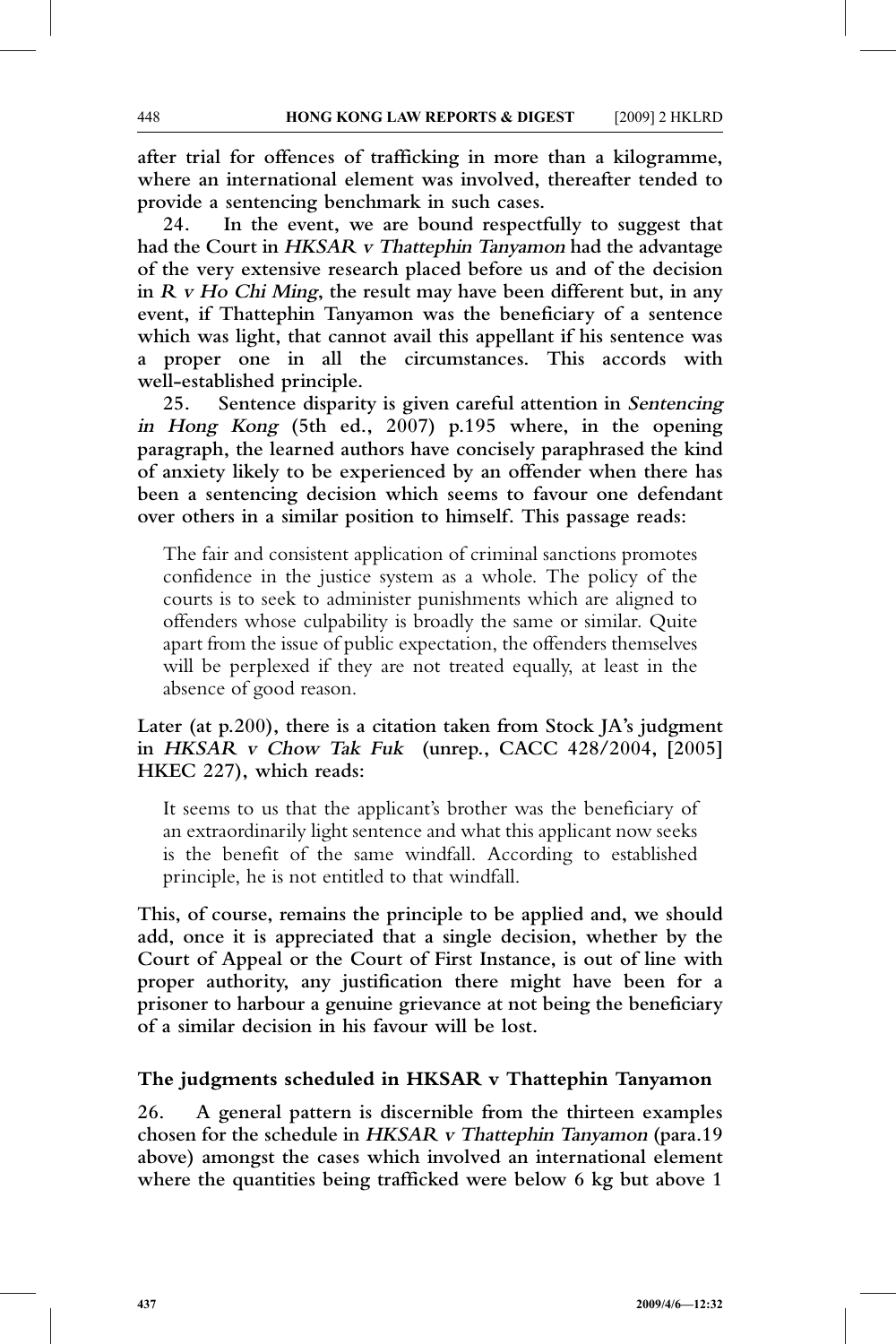**after trial for offences of trafficking in more than a kilogramme, where an international element was involved, thereafter tended to provide a sentencing benchmark in such cases.**

**24. In the event, we are bound respectfully to suggest that had the Court in HKSAR <sup>v</sup> Thattephin Tanyamon had the advantage of the very extensive research placed before us and of the decision in <sup>R</sup> <sup>v</sup> Ho Chi Ming, the result may have been different but, in any event, if Thattephin Tanyamon was the beneficiary of a sentence which was light, that cannot avail this appellant if his sentence was a proper one in all the circumstances. This accords with well-established principle.**

**25. Sentence disparity is given careful attention in Sentencing in Hong Kong (5th ed., 2007) p.195 where, in the opening paragraph, the learned authors have concisely paraphrased the kind of anxiety likely to be experienced by an offender when there has been a sentencing decision which seems to favour one defendant over others in a similar position to himself. This passage reads:**

The fair and consistent application of criminal sanctions promotes confidence in the justice system as a whole. The policy of the courts is to seek to administer punishments which are aligned to offenders whose culpability is broadly the same or similar. Quite apart from the issue of public expectation, the offenders themselves will be perplexed if they are not treated equally, at least in the absence of good reason.

### **Later (at p.200), there is a citation taken from Stock JA's judgment in HKSAR <sup>v</sup> Chow Tak Fuk (unrep., CACC 428/2004, [2005] HKEC 227), which reads:**

It seems to us that the applicant's brother was the beneficiary of an extraordinarily light sentence and what this applicant now seeks is the benefit of the same windfall. According to established principle, he is not entitled to that windfall.

**This, of course, remains the principle to be applied and, we should add, once it is appreciated that a single decision, whether by the Court of Appeal or the Court of First Instance, is out of line with proper authority, any justification there might have been for a prisoner to harbour a genuine grievance at not being the beneficiary of a similar decision in his favour will be lost.**

## **The judgments scheduled in HKSAR v Thattephin Tanyamon**

**26. A general pattern is discernible from the thirteen examples chosen for the schedule in HKSAR <sup>v</sup> Thattephin Tanyamon (para.19 above) amongst the cases which involved an international element where the quantities being trafficked were below 6 kg but above 1**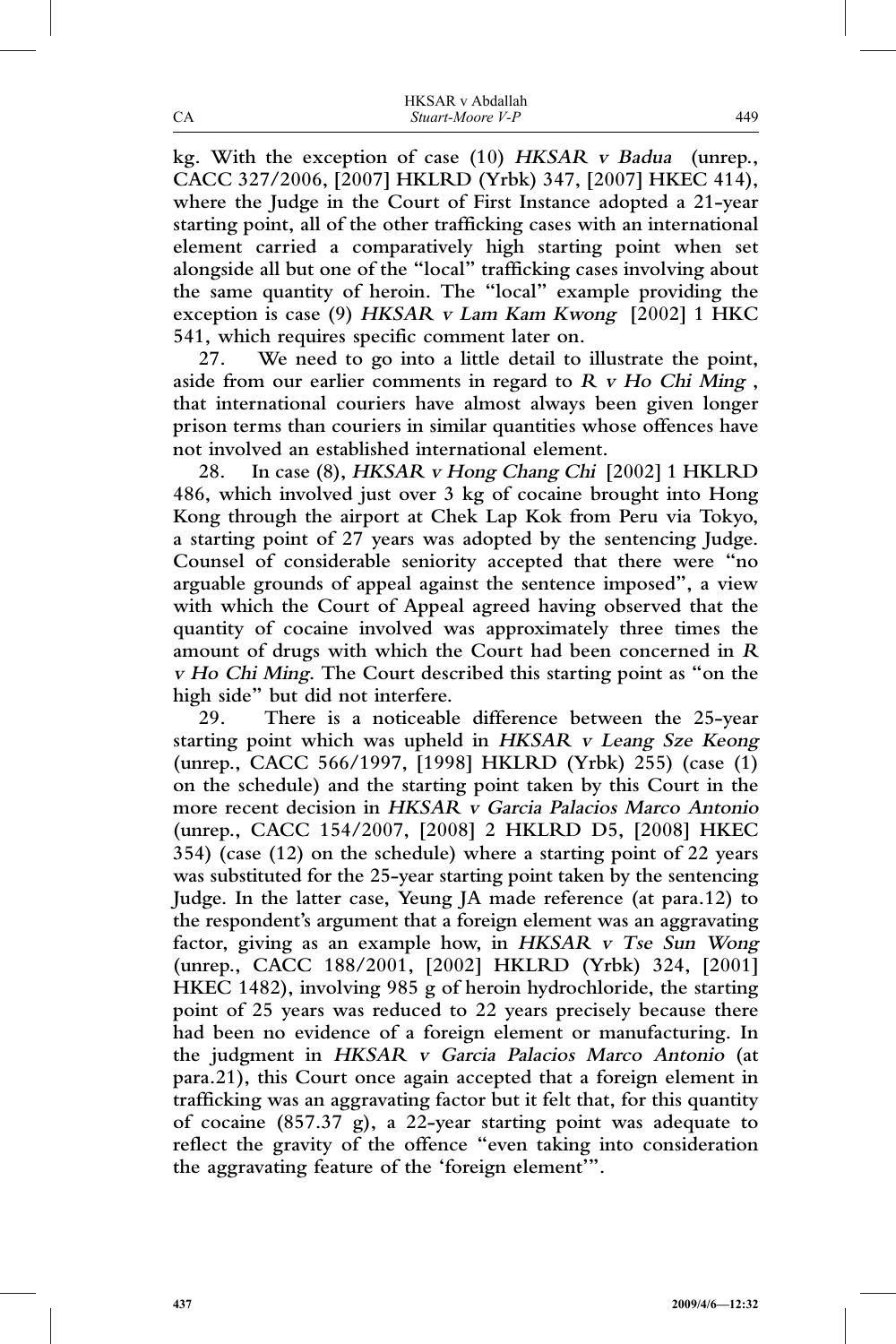|    | <b>HKSAR</b> v Abdallah |
|----|-------------------------|
| CА | Stuart-Moore V-P        |

**kg. With the exception of case (10) HKSAR <sup>v</sup> Badua (unrep., CACC 327/2006, [2007] HKLRD (Yrbk) 347, [2007] HKEC 414), where the Judge in the Court of First Instance adopted a 21-year starting point, all of the other trafficking cases with an international element carried a comparatively high starting point when set alongside all but one of the "local" trafficking cases involving about the same quantity of heroin. The "local" example providing the exception is case (9) HKSAR <sup>v</sup> Lam Kam Kwong [2002] 1 HKC 541, which requires specific comment later on.**

**27. We need to go into a little detail to illustrate the point, aside from our earlier comments in regard to <sup>R</sup> <sup>v</sup> Ho Chi Ming , that international couriers have almost always been given longer prison terms than couriers in similar quantities whose offences have not involved an established international element.**

**28. In case (8), HKSAR <sup>v</sup> Hong Chang Chi [2002] 1 HKLRD 486, which involved just over 3 kg of cocaine brought into Hong Kong through the airport at Chek Lap Kok from Peru via Tokyo, a starting point of 27 years was adopted by the sentencing Judge. Counsel of considerable seniority accepted that there were "no arguable grounds of appeal against the sentence imposed", a view with which the Court of Appeal agreed having observed that the quantity of cocaine involved was approximately three times the amount of drugs with which the Court had been concerned in <sup>R</sup> <sup>v</sup> Ho Chi Ming. The Court described this starting point as "on the high side" but did not interfere.**

**29. There is a noticeable difference between the 25-year starting point which was upheld in HKSAR <sup>v</sup> Leang Sze Keong (unrep., CACC 566/1997, [1998] HKLRD (Yrbk) 255) (case (1) on the schedule) and the starting point taken by this Court in the more recent decision in HKSAR <sup>v</sup> Garcia Palacios Marco Antonio (unrep., CACC 154/2007, [2008] 2 HKLRD D5, [2008] HKEC 354) (case (12) on the schedule) where a starting point of 22 years was substituted for the 25-year starting point taken by the sentencing Judge. In the latter case, Yeung JA made reference (at para.12) to the respondent's argument that a foreign element was an aggravating factor, giving as an example how, in HKSAR <sup>v</sup> Tse Sun Wong (unrep., CACC 188/2001, [2002] HKLRD (Yrbk) 324, [2001] HKEC 1482), involving 985 g of heroin hydrochloride, the starting point of 25 years was reduced to 22 years precisely because there had been no evidence of a foreign element or manufacturing. In the judgment in HKSAR <sup>v</sup> Garcia Palacios Marco Antonio (at para.21), this Court once again accepted that a foreign element in trafficking was an aggravating factor but it felt that, for this quantity of cocaine (857.37 g), a 22-year starting point was adequate to reflect the gravity of the offence "even taking into consideration the aggravating feature of the 'foreign element'".**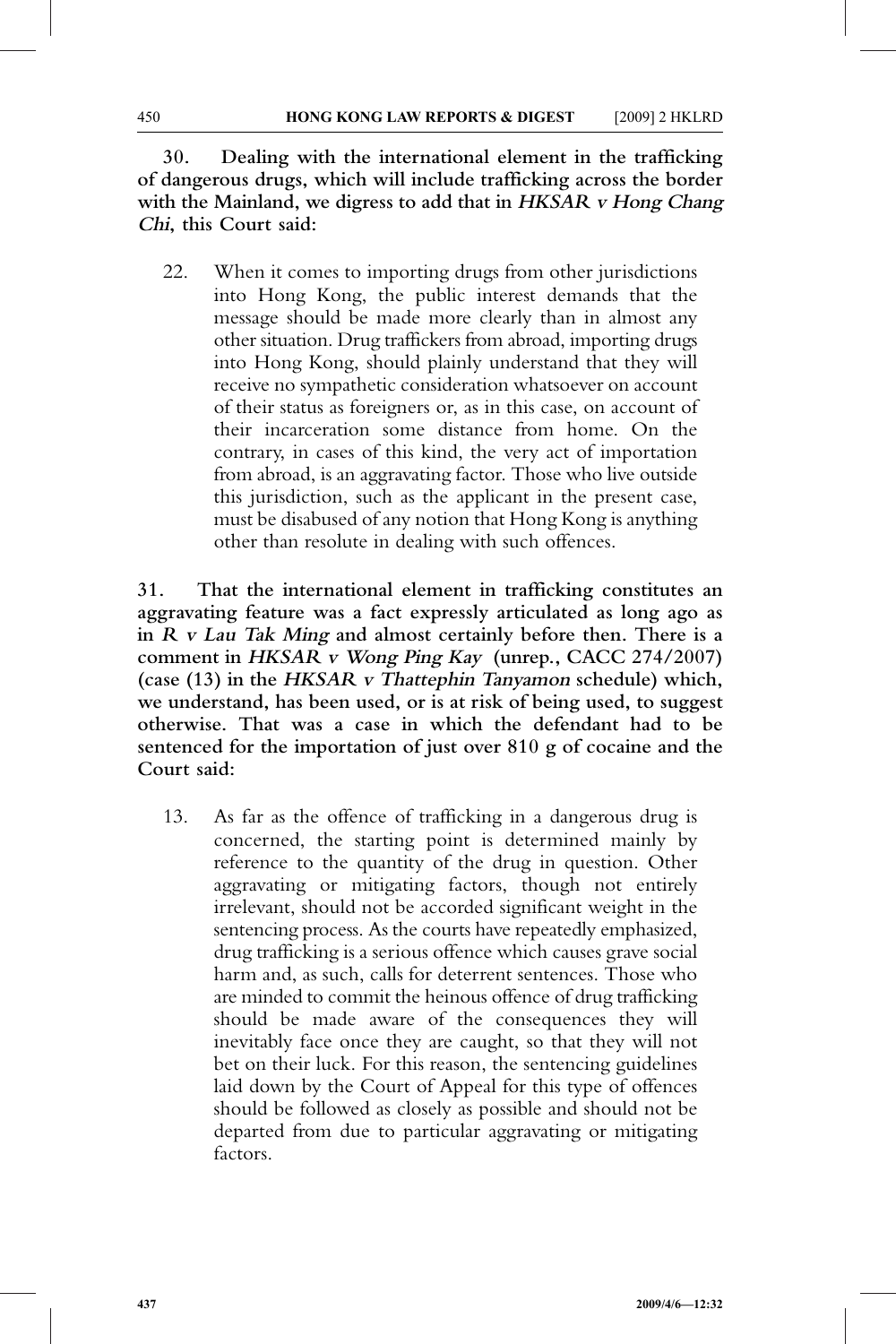**30. Dealing with the international element in the trafficking of dangerous drugs, which will include trafficking across the border with the Mainland, we digress to add that in HKSAR <sup>v</sup> Hong Chang Chi, this Court said:**

22. When it comes to importing drugs from other jurisdictions into Hong Kong, the public interest demands that the message should be made more clearly than in almost any other situation. Drug traffickers from abroad, importing drugs into Hong Kong, should plainly understand that they will receive no sympathetic consideration whatsoever on account of their status as foreigners or, as in this case, on account of their incarceration some distance from home. On the contrary, in cases of this kind, the very act of importation from abroad, is an aggravating factor. Those who live outside this jurisdiction, such as the applicant in the present case, must be disabused of any notion that Hong Kong is anything other than resolute in dealing with such offences.

**31. That the international element in trafficking constitutes an aggravating feature was a fact expressly articulated as long ago as in <sup>R</sup> <sup>v</sup> Lau Tak Ming and almost certainly before then. There is a comment in HKSAR <sup>v</sup> Wong Ping Kay (unrep., CACC 274/2007) (case (13) in the HKSAR <sup>v</sup> Thattephin Tanyamon schedule) which, we understand, has been used, or is at risk of being used, to suggest otherwise. That was a case in which the defendant had to be sentenced for the importation of just over 810 g of cocaine and the Court said:**

13. As far as the offence of trafficking in a dangerous drug is concerned, the starting point is determined mainly by reference to the quantity of the drug in question. Other aggravating or mitigating factors, though not entirely irrelevant, should not be accorded significant weight in the sentencing process. As the courts have repeatedly emphasized, drug trafficking is a serious offence which causes grave social harm and, as such, calls for deterrent sentences. Those who are minded to commit the heinous offence of drug trafficking should be made aware of the consequences they will inevitably face once they are caught, so that they will not bet on their luck. For this reason, the sentencing guidelines laid down by the Court of Appeal for this type of offences should be followed as closely as possible and should not be departed from due to particular aggravating or mitigating factors.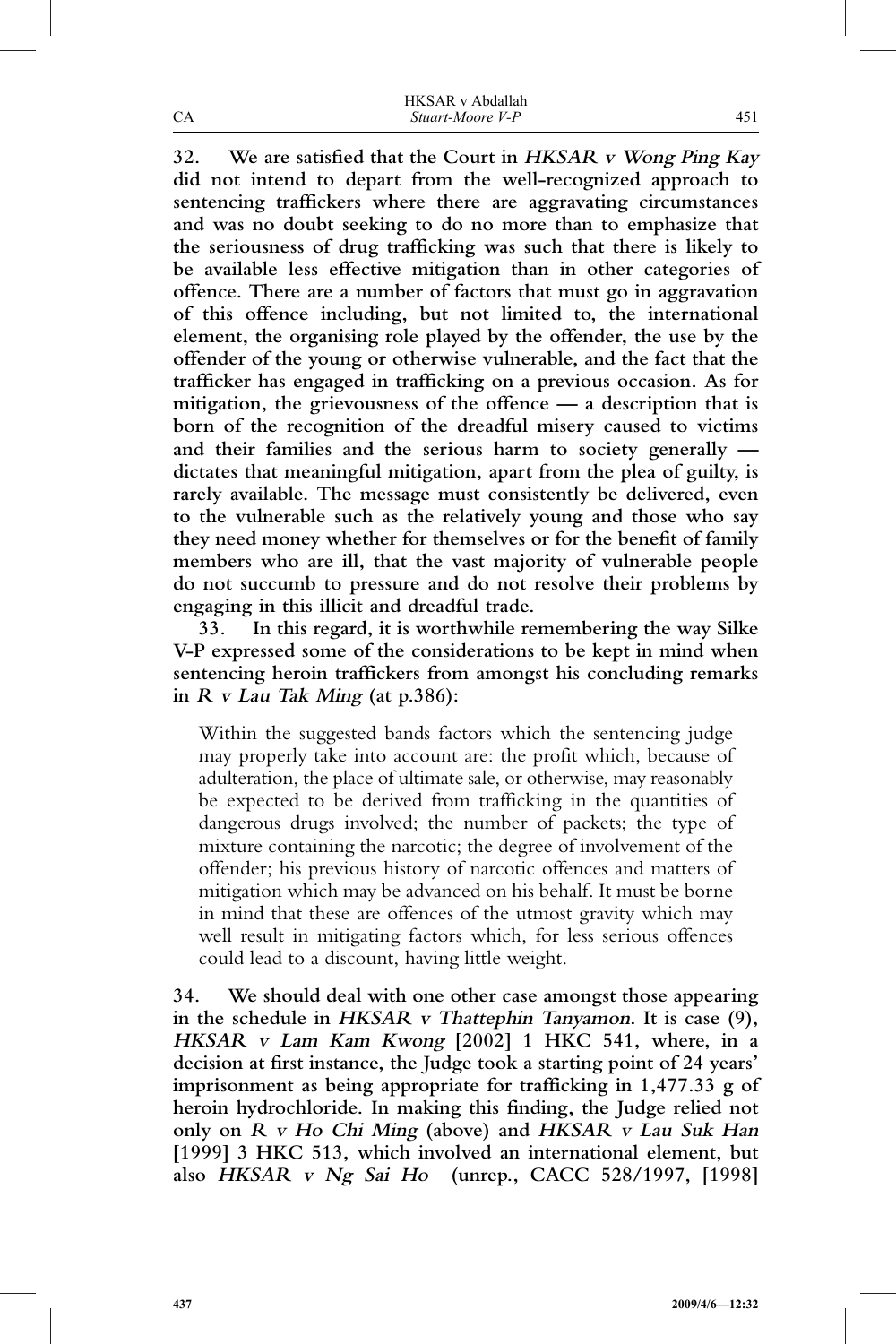|    | <b>HKSAR</b> v Abdallah |
|----|-------------------------|
| CА | Stuart-Moore V-P        |

**32. We are satisfied that the Court in HKSAR <sup>v</sup> Wong Ping Kay did not intend to depart from the well-recognized approach to sentencing traffickers where there are aggravating circumstances and was no doubt seeking to do no more than to emphasize that the seriousness of drug trafficking was such that there is likely to be available less effective mitigation than in other categories of offence. There are a number of factors that must go in aggravation of this offence including, but not limited to, the international element, the organising role played by the offender, the use by the offender of the young or otherwise vulnerable, and the fact that the trafficker has engaged in trafficking on a previous occasion. As for mitigation, the grievousness of the offence — a description that is born of the recognition of the dreadful misery caused to victims and their families and the serious harm to society generally dictates that meaningful mitigation, apart from the plea of guilty, is rarely available. The message must consistently be delivered, even to the vulnerable such as the relatively young and those who say they need money whether for themselves or for the benefit of family members who are ill, that the vast majority of vulnerable people do not succumb to pressure and do not resolve their problems by engaging in this illicit and dreadful trade.**

**33. In this regard, it is worthwhile remembering the way Silke V-P expressed some of the considerations to be kept in mind when sentencing heroin traffickers from amongst his concluding remarks in <sup>R</sup> <sup>v</sup> Lau Tak Ming (at p.386):**

Within the suggested bands factors which the sentencing judge may properly take into account are: the profit which, because of adulteration, the place of ultimate sale, or otherwise, may reasonably be expected to be derived from trafficking in the quantities of dangerous drugs involved; the number of packets; the type of mixture containing the narcotic; the degree of involvement of the offender; his previous history of narcotic offences and matters of mitigation which may be advanced on his behalf. It must be borne in mind that these are offences of the utmost gravity which may well result in mitigating factors which, for less serious offences could lead to a discount, having little weight.

**34. We should deal with one other case amongst those appearing in the schedule in HKSAR <sup>v</sup> Thattephin Tanyamon. It is case (9), HKSAR <sup>v</sup> Lam Kam Kwong [2002] 1 HKC 541, where, in a decision at first instance, the Judge took a starting point of 24 years' imprisonment as being appropriate for trafficking in 1,477.33 g of heroin hydrochloride. In making this finding, the Judge relied not only on <sup>R</sup> <sup>v</sup> Ho Chi Ming (above) and HKSAR <sup>v</sup> Lau Suk Han [1999] 3 HKC 513, which involved an international element, but also HKSAR <sup>v</sup> Ng Sai Ho (unrep., CACC 528/1997, [1998]**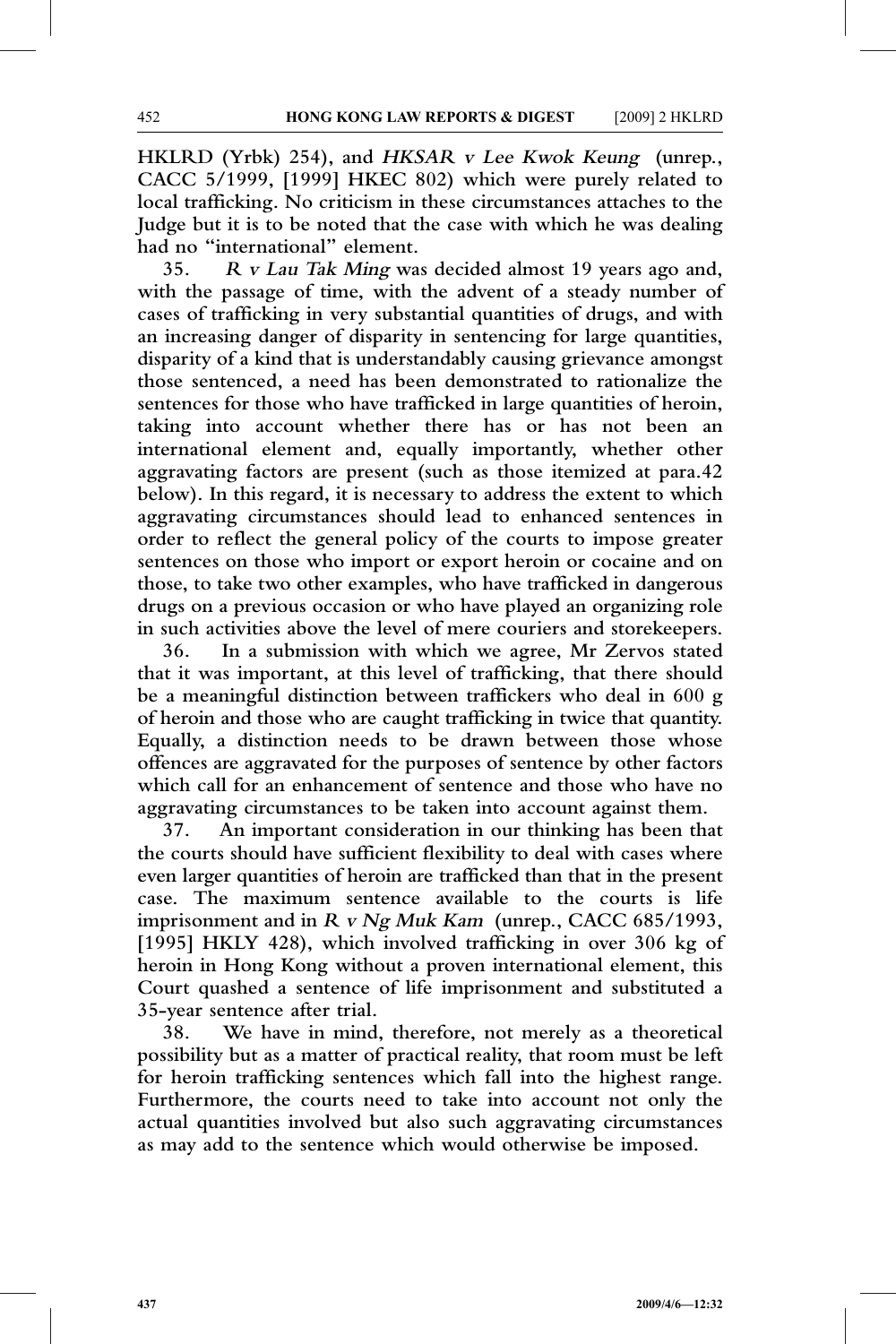**HKLRD (Yrbk) 254), and HKSAR <sup>v</sup> Lee Kwok Keung (unrep., CACC 5/1999, [1999] HKEC 802) which were purely related to local trafficking. No criticism in these circumstances attaches to the Judge but it is to be noted that the case with which he was dealing had no "international" element.**

**35. <sup>R</sup> <sup>v</sup> Lau Tak Ming was decided almost 19 years ago and, with the passage of time, with the advent of a steady number of cases of trafficking in very substantial quantities of drugs, and with an increasing danger of disparity in sentencing for large quantities, disparity of a kind that is understandably causing grievance amongst those sentenced, a need has been demonstrated to rationalize the sentences for those who have trafficked in large quantities of heroin, taking into account whether there has or has not been an international element and, equally importantly, whether other aggravating factors are present (such as those itemized at para.42 below). In this regard, it is necessary to address the extent to which aggravating circumstances should lead to enhanced sentences in order to reflect the general policy of the courts to impose greater sentences on those who import or export heroin or cocaine and on those, to take two other examples, who have trafficked in dangerous drugs on a previous occasion or who have played an organizing role in such activities above the level of mere couriers and storekeepers.**

**36. In a submission with which we agree, Mr Zervos stated that it was important, at this level of trafficking, that there should be a meaningful distinction between traffickers who deal in 600 g of heroin and those who are caught trafficking in twice that quantity. Equally, a distinction needs to be drawn between those whose offences are aggravated for the purposes of sentence by other factors which call for an enhancement of sentence and those who have no aggravating circumstances to be taken into account against them.**

**37. An important consideration in our thinking has been that the courts should have sufficient flexibility to deal with cases where even larger quantities of heroin are trafficked than that in the present case. The maximum sentence available to the courts is life imprisonment and in <sup>R</sup> <sup>v</sup> Ng Muk Kam (unrep., CACC 685/1993, [1995] HKLY 428), which involved trafficking in over 306 kg of heroin in Hong Kong without a proven international element, this Court quashed a sentence of life imprisonment and substituted a 35-year sentence after trial.**

**38. We have in mind, therefore, not merely as a theoretical possibility but as a matter of practical reality, that room must be left for heroin trafficking sentences which fall into the highest range. Furthermore, the courts need to take into account not only the actual quantities involved but also such aggravating circumstances as may add to the sentence which would otherwise be imposed.**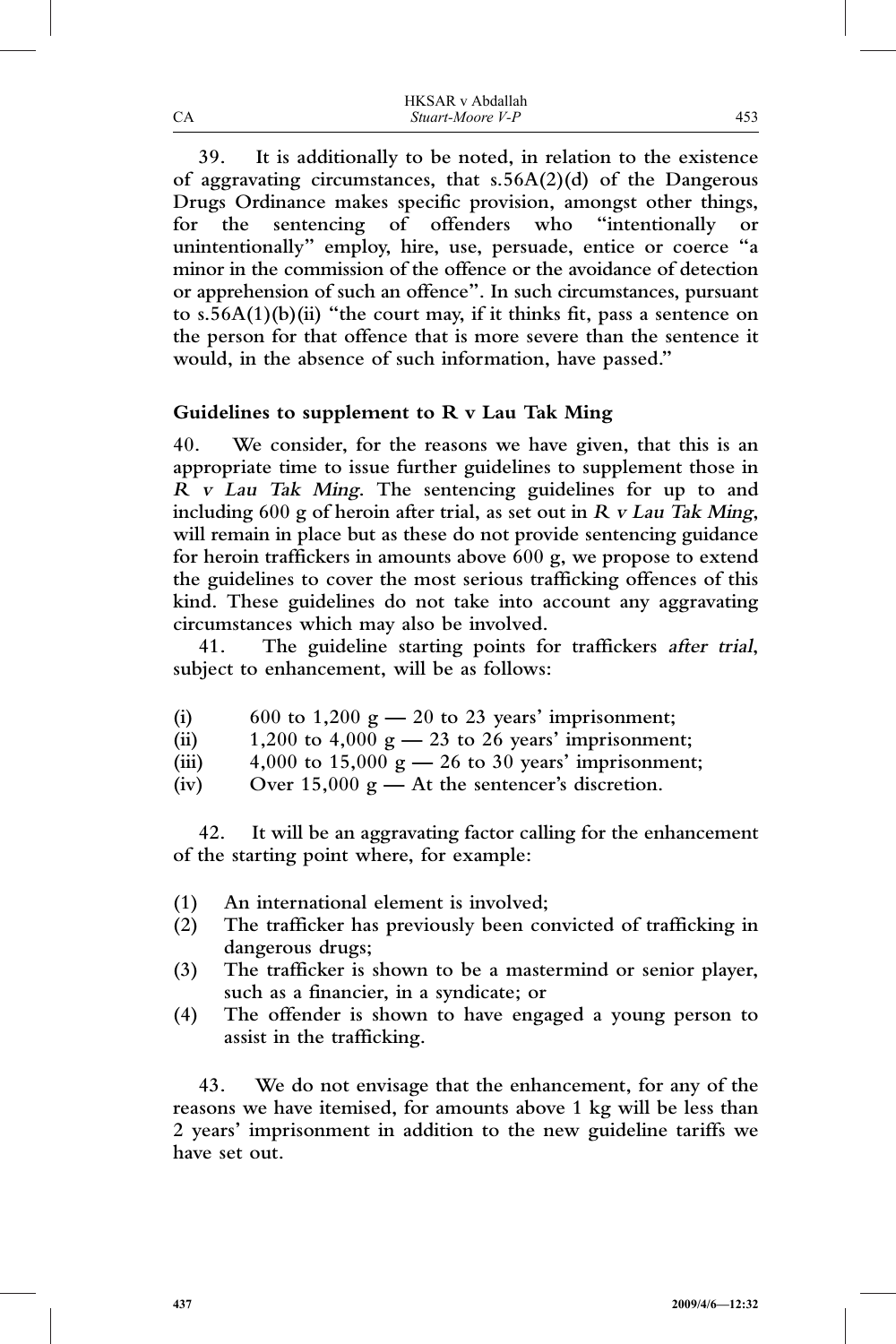|    | <b>HKSAR</b> v Abdallah |
|----|-------------------------|
| CА | Stuart-Moore V-P        |

**39. It is additionally to be noted, in relation to the existence of aggravating circumstances, that s.56A(2)(d) of the Dangerous Drugs Ordinance makes specific provision, amongst other things, for the sentencing of offenders who "intentionally or unintentionally" employ, hire, use, persuade, entice or coerce "a minor in the commission of the offence or the avoidance of detection or apprehension of such an offence". In such circumstances, pursuant to s.56A(1)(b)(ii) "the court may, if it thinks fit, pass a sentence on the person for that offence that is more severe than the sentence it would, in the absence of such information, have passed."**

### **Guidelines to supplement to R v Lau Tak Ming**

**40. We consider, for the reasons we have given, that this is an appropriate time to issue further guidelines to supplement those in <sup>R</sup> <sup>v</sup> Lau Tak Ming. The sentencing guidelines for up to and including 600 g of heroin after trial, as set out in <sup>R</sup> <sup>v</sup> Lau Tak Ming, will remain in place but as these do not provide sentencing guidance for heroin traffickers in amounts above 600 g, we propose to extend the guidelines to cover the most serious trafficking offences of this kind. These guidelines do not take into account any aggravating circumstances which may also be involved.**

**41. The guideline starting points for traffickers after trial, subject to enhancement, will be as follows:**

- **(i) 600 to 1,200 g — 20 to 23 years' imprisonment;**
- **(ii) 1,200 to 4,000 g — 23 to 26 years' imprisonment;**
- **(iii) 4,000 to 15,000 g — 26 to 30 years' imprisonment;**
- **(iv) Over 15,000 g — At the sentencer's discretion.**

**42. It will be an aggravating factor calling for the enhancement of the starting point where, for example:**

- **(1) An international element is involved;**
- **(2) The trafficker has previously been convicted of trafficking in dangerous drugs;**
- **(3) The trafficker is shown to be a mastermind or senior player, such as a financier, in a syndicate; or**
- **(4) The offender is shown to have engaged a young person to assist in the trafficking.**

**43. We do not envisage that the enhancement, for any of the reasons we have itemised, for amounts above 1 kg will be less than 2 years' imprisonment in addition to the new guideline tariffs we have set out.**